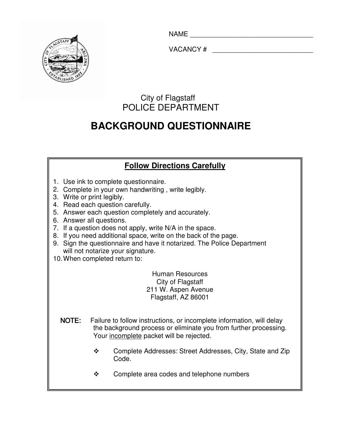NAME \_\_\_\_\_\_\_\_\_\_\_\_\_\_\_\_\_\_\_\_\_\_\_\_\_\_\_\_\_\_\_\_\_



VACANCY #  $\blacksquare$ 

# City of Flagstaff POLICE DEPARTMENT

# **BACKGROUND QUESTIONNAIRE**

## **Follow Directions Carefully**

- 1. Use ink to complete questionnaire.
- 2. Complete in your own handwriting , write legibly.
- 3. Write or print legibly.
- 4. Read each question carefully.
- 5. Answer each question completely and accurately.
- 6. Answer all questions.
- 7. If a question does not apply, write N/A in the space.
- 8. If you need additional space, write on the back of the page.
- 9. Sign the questionnaire and have it notarized. The Police Department will not notarize your signature.
- 10. When completed return to:

 Human Resources City of Flagstaff 211 W. Aspen Avenue Flagstaff, AZ 86001

- the background process or eliminate you from further processing. Your <u>incomplete</u> packet will be rejected. NOTE: Failure to follow instructions, or incomplete information, will delay
	- \* Complete Addresses: Street Addresses, City, State and Zip Code.
	- Complete area codes and telephone numbers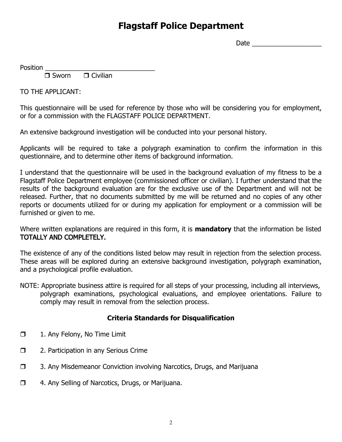# Flagstaff Police Department

Date  $\Box$ 

Position

 $\Box$  Sworn  $\Box$  $\Box$  Civilian

TO THE APPLICANT:

This questionnaire will be used for reference by those who will be considering you for employment, or for a commission with the FLAGSTAFF POLICE DEPARTMENT.

An extensive background investigation will be conducted into your personal history.

Applicants will be required to take a polygraph examination to confirm the information in this questionnaire, and to determine other items of background information.

I understand that the questionnaire will be used in the background evaluation of my fitness to be a Flagstaff Police Department employee (commissioned officer or civilian). I further understand that the results of the background evaluation are for the exclusive use of the Department and will not be released. Further, that no documents submitted by me will be returned and no copies of any other reports or documents utilized for or during my application for employment or a commission will be furnished or given to me.

Where written explanations are required in this form, it is **mandatory** that the information be listed TOTALLY AND COMPLETELY.

The existence of any of the conditions listed below may result in rejection from the selection process. These areas will be explored during an extensive background investigation, polygraph examination, and a psychological profile evaluation.

NOTE: Appropriate business attire is required for all steps of your processing, including all interviews, polygraph examinations, psychological evaluations, and employee orientations. Failure to comply may result in removal from the selection process.

### Criteria Standards for Disqualification

- $\Box$ 1. Any Felony, No Time Limit
- $\Box$ 2. Participation in any Serious Crime
- $\Box$ 3. Any Misdemeanor Conviction involving Narcotics, Drugs, and Marijuana
- $\Box$ 4. Any Selling of Narcotics, Drugs, or Marijuana.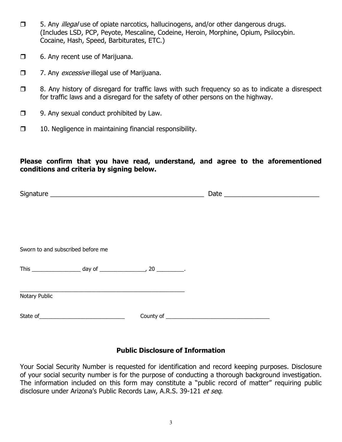- $\Box$  5. Any illegal use of opiate narcotics, hallucinogens, and/or other dangerous drugs. (Includes LSD, PCP, Peyote, Mescaline, Codeine, Heroin, Morphine, Opium, Psilocybin. Cocaine, Hash, Speed, Barbiturates, ETC.)
- $\Box$ 6. Any recent use of Marijuana.
- $\Box$ 7. Any *excessive* illegal use of Marijuana.
- $\Box$  8. Any history of disregard for traffic laws with such frequency so as to indicate a disrespect for traffic laws and a disregard for the safety of other persons on the highway.
- $\Box$ 9. Any sexual conduct prohibited by Law.
- $\Box$ 10. Negligence in maintaining financial responsibility.

### Please confirm that you have read, understand, and agree to the aforementioned conditions and criteria by signing below.

|               | Sworn to and subscribed before me |  |  |  |
|---------------|-----------------------------------|--|--|--|
|               |                                   |  |  |  |
|               |                                   |  |  |  |
| Notary Public |                                   |  |  |  |
|               |                                   |  |  |  |

### Public Disclosure of Information

Your Social Security Number is requested for identification and record keeping purposes. Disclosure of your social security number is for the purpose of conducting a thorough background investigation. The information included on this form may constitute a "public record of matter" requiring public disclosure under Arizona's Public Records Law, A.R.S. 39-121 et seq.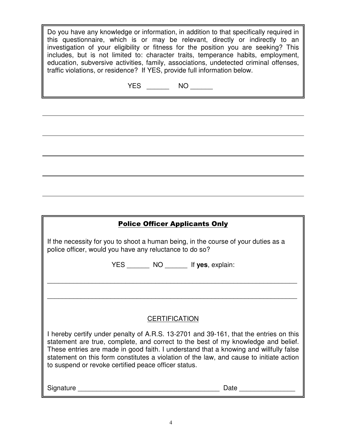Do you have any knowledge or information, in addition to that specifically required in this questionnaire, which is or may be relevant, directly or indirectly to an investigation of your eligibility or fitness for the position you are seeking? This includes, but is not limited to: character traits, temperance habits, employment, education, subversive activities, family, associations, undetected criminal offenses, traffic violations, or residence? If YES, provide full information below.

| $V\Gamma$ $\Omega$ | NO |
|--------------------|----|
| E5.                |    |

# Police Officer Applicants Only If the necessity for you to shoot a human being, in the course of your duties as a police officer, would you have any reluctance to do so? YES \_\_\_\_\_\_ NO \_\_\_\_\_\_ If **yes**, explain:  $\overline{a_1}$  ,  $\overline{a_2}$  ,  $\overline{a_3}$  ,  $\overline{a_4}$  ,  $\overline{a_5}$  ,  $\overline{a_6}$  ,  $\overline{a_7}$  ,  $\overline{a_8}$  ,  $\overline{a_9}$  ,  $\overline{a_9}$  ,  $\overline{a_9}$  ,  $\overline{a_9}$  ,  $\overline{a_9}$  ,  $\overline{a_9}$  ,  $\overline{a_9}$  ,  $\overline{a_9}$  ,  $\overline{a_9}$  ,  $\overline{a_1}$  ,  $\overline{a_2}$  ,  $\overline{a_3}$  ,  $\overline{a_4}$  ,  $\overline{a_5}$  ,  $\overline{a_6}$  ,  $\overline{a_7}$  ,  $\overline{a_8}$  ,  $\overline{a_9}$  ,  $\overline{a_9}$  ,  $\overline{a_9}$  ,  $\overline{a_9}$  ,  $\overline{a_9}$  ,  $\overline{a_9}$  ,  $\overline{a_9}$  ,  $\overline{a_9}$  ,  $\overline{a_9}$  , **CERTIFICATION** I hereby certify under penalty of A.R.S. 13-2701 and 39-161, that the entries on this statement are true, complete, and correct to the best of my knowledge and belief. These entries are made in good faith. I understand that a knowing and willfully false statement on this form constitutes a violation of the law, and cause to initiate action to suspend or revoke certified peace officer status. Signature **Example 20** and the set of the set of the set of the set of the set of the set of the set of the set of the set of the set of the set of the set of the set of the set of the set of the set of the set of the set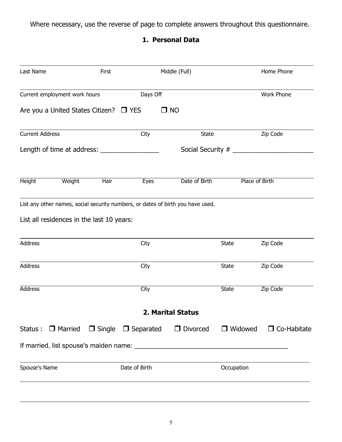Where necessary, use the reverse of page to complete answers throughout this questionnaire.

## 1. Personal Data

| Last Name                                   |                | First       |                                | Middle (Full)                                                                   |                | Home Phone         |
|---------------------------------------------|----------------|-------------|--------------------------------|---------------------------------------------------------------------------------|----------------|--------------------|
| Current employment work hours               |                |             | Days Off                       |                                                                                 |                | <b>Work Phone</b>  |
| Are you a United States Citizen? $\Box$ YES |                |             |                                | $\square$ NO                                                                    |                |                    |
| <b>Current Address</b>                      |                |             | City                           | <b>State</b>                                                                    |                | Zip Code           |
|                                             |                |             |                                |                                                                                 |                |                    |
| <b>Height</b>                               | Weight         | <b>Hair</b> | Eyes                           | Date of Birth                                                                   |                | Place of Birth     |
|                                             |                |             |                                | List any other names, social security numbers, or dates of birth you have used. |                |                    |
| List all residences in the last 10 years:   |                |             |                                |                                                                                 |                |                    |
| Address                                     |                |             | City                           |                                                                                 | <b>State</b>   | Zip Code           |
| Address                                     |                |             | City                           |                                                                                 | <b>State</b>   | Zip Code           |
| <b>Address</b>                              |                |             | City                           |                                                                                 | <b>State</b>   | Zip Code           |
|                                             |                |             |                                | <b>2. Marital Status</b>                                                        |                |                    |
| Status :                                    | $\Box$ Married |             | $\Box$ Single $\Box$ Separated | $\Box$ Divorced                                                                 | $\Box$ Widowed | $\Box$ Co-Habitate |
|                                             |                |             |                                |                                                                                 |                |                    |
| Spouse's Name                               |                |             | Date of Birth                  |                                                                                 | Occupation     |                    |
|                                             |                |             |                                |                                                                                 |                |                    |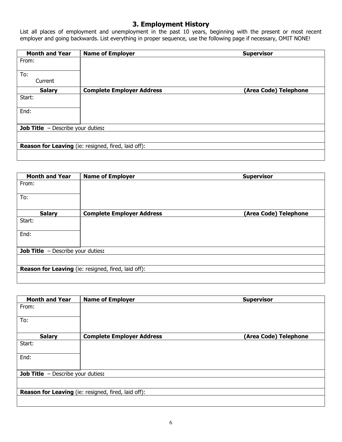### 3. Employment History

List all places of employment and unemployment in the past 10 years, beginning with the present or most recent employer and going backwards. List everything in proper sequence, use the following page if necessary, OMIT NONE!

| <b>Month and Year</b>                      | <b>Name of Employer</b>                                    | <b>Supervisor</b>     |
|--------------------------------------------|------------------------------------------------------------|-----------------------|
| From:                                      |                                                            |                       |
| To:                                        |                                                            |                       |
| Current                                    |                                                            |                       |
| <b>Salary</b>                              | <b>Complete Employer Address</b>                           | (Area Code) Telephone |
| Start:                                     |                                                            |                       |
|                                            |                                                            |                       |
| End:                                       |                                                            |                       |
|                                            |                                                            |                       |
| <b>Job Title</b> $-$ Describe your duties: |                                                            |                       |
|                                            |                                                            |                       |
|                                            | <b>Reason for Leaving</b> (ie: resigned, fired, laid off): |                       |
|                                            |                                                            |                       |
|                                            |                                                            |                       |

| <b>Month and Year</b>                    | <b>Name of Employer</b>                                    | <b>Supervisor</b>     |
|------------------------------------------|------------------------------------------------------------|-----------------------|
| From:                                    |                                                            |                       |
| To:                                      |                                                            |                       |
| <b>Salary</b>                            | <b>Complete Employer Address</b>                           | (Area Code) Telephone |
| Start:                                   |                                                            |                       |
| End:                                     |                                                            |                       |
| <b>Job Title</b> - Describe your duties: |                                                            |                       |
|                                          |                                                            |                       |
|                                          | <b>Reason for Leaving</b> (ie: resigned, fired, laid off): |                       |
|                                          |                                                            |                       |

| <b>Month and Year</b>                      | <b>Name of Employer</b>                                    | <b>Supervisor</b>     |
|--------------------------------------------|------------------------------------------------------------|-----------------------|
| From:                                      |                                                            |                       |
| To:                                        |                                                            |                       |
| <b>Salary</b>                              | <b>Complete Employer Address</b>                           | (Area Code) Telephone |
| Start:                                     |                                                            |                       |
| End:                                       |                                                            |                       |
| <b>Job Title</b> $-$ Describe your duties: |                                                            |                       |
|                                            |                                                            |                       |
|                                            | <b>Reason for Leaving</b> (ie: resigned, fired, laid off): |                       |
|                                            |                                                            |                       |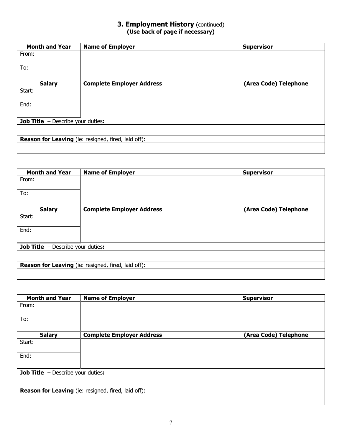### **3. Employment History** (continued) (Use back of page if necessary)

| <b>Month and Year</b>                      | <b>Name of Employer</b>                                    | <b>Supervisor</b>     |
|--------------------------------------------|------------------------------------------------------------|-----------------------|
| From:                                      |                                                            |                       |
| To:                                        |                                                            |                       |
| <b>Salary</b>                              | <b>Complete Employer Address</b>                           | (Area Code) Telephone |
| Start:                                     |                                                            |                       |
| End:                                       |                                                            |                       |
| <b>Job Title</b> $-$ Describe your duties: |                                                            |                       |
|                                            |                                                            |                       |
|                                            | <b>Reason for Leaving</b> (ie: resigned, fired, laid off): |                       |
|                                            |                                                            |                       |

| <b>Month and Year</b>                      | <b>Name of Employer</b>                             | <b>Supervisor</b>     |
|--------------------------------------------|-----------------------------------------------------|-----------------------|
| From:                                      |                                                     |                       |
| To:                                        |                                                     |                       |
| <b>Salary</b>                              | <b>Complete Employer Address</b>                    | (Area Code) Telephone |
| Start:                                     |                                                     |                       |
| End:                                       |                                                     |                       |
| <b>Job Title</b> $-$ Describe your duties: |                                                     |                       |
|                                            |                                                     |                       |
|                                            | Reason for Leaving (ie: resigned, fired, laid off): |                       |
|                                            |                                                     |                       |

| <b>Month and Year</b>                      | <b>Name of Employer</b>                             | <b>Supervisor</b>     |
|--------------------------------------------|-----------------------------------------------------|-----------------------|
| From:                                      |                                                     |                       |
| To:                                        |                                                     |                       |
| <b>Salary</b>                              | <b>Complete Employer Address</b>                    | (Area Code) Telephone |
| Start:                                     |                                                     |                       |
| End:                                       |                                                     |                       |
| <b>Job Title</b> $-$ Describe your duties: |                                                     |                       |
|                                            |                                                     |                       |
|                                            | Reason for Leaving (ie: resigned, fired, laid off): |                       |
|                                            |                                                     |                       |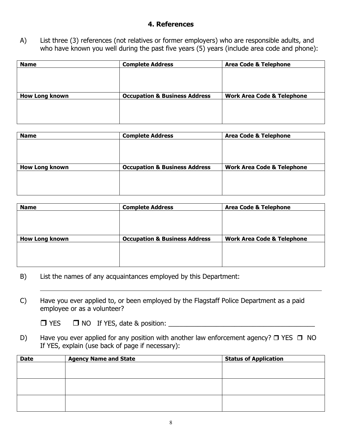### 4. References

A) List three (3) references (not relatives or former employers) who are responsible adults, and who have known you well during the past five years (5) years (include area code and phone):

| <b>Name</b>           | <b>Complete Address</b>                  | <b>Area Code &amp; Telephone</b>      |
|-----------------------|------------------------------------------|---------------------------------------|
|                       |                                          |                                       |
|                       |                                          |                                       |
|                       |                                          |                                       |
| <b>How Long known</b> | <b>Occupation &amp; Business Address</b> | <b>Work Area Code &amp; Telephone</b> |
|                       |                                          |                                       |
|                       |                                          |                                       |
|                       |                                          |                                       |

| <b>Name</b>           | <b>Complete Address</b>                  | <b>Area Code &amp; Telephone</b>      |
|-----------------------|------------------------------------------|---------------------------------------|
|                       |                                          |                                       |
|                       |                                          |                                       |
|                       |                                          |                                       |
| <b>How Long known</b> | <b>Occupation &amp; Business Address</b> | <b>Work Area Code &amp; Telephone</b> |
|                       |                                          |                                       |
|                       |                                          |                                       |
|                       |                                          |                                       |

| <b>Name</b>           | <b>Complete Address</b>                  | <b>Area Code &amp; Telephone</b>      |
|-----------------------|------------------------------------------|---------------------------------------|
|                       |                                          |                                       |
|                       |                                          |                                       |
|                       |                                          |                                       |
|                       |                                          |                                       |
| <b>How Long known</b> | <b>Occupation &amp; Business Address</b> | <b>Work Area Code &amp; Telephone</b> |
|                       |                                          |                                       |
|                       |                                          |                                       |
|                       |                                          |                                       |
|                       |                                          |                                       |

- B) List the names of any acquaintances employed by this Department:
- C) Have you ever applied to, or been employed by the Flagstaff Police Department as a paid employee or as a volunteer?

|  | $\Box$ YES $\Box$ NO If YES, date & position: |  |
|--|-----------------------------------------------|--|
|  |                                               |  |

D) Have you ever applied for any position with another law enforcement agency?  $\Box$  YES  $\Box$  NO If YES, explain (use back of page if necessary):

| <b>Date</b> | <b>Agency Name and State</b> | <b>Status of Application</b> |
|-------------|------------------------------|------------------------------|
|             |                              |                              |
|             |                              |                              |
|             |                              |                              |
|             |                              |                              |
|             |                              |                              |
|             |                              |                              |
|             |                              |                              |
|             |                              |                              |
|             |                              |                              |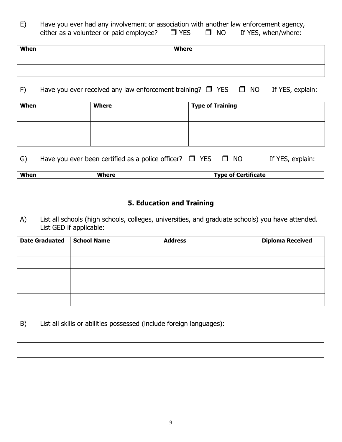| Have you ever had any involvement or association with another law enforcement agency, |            |              |                     |
|---------------------------------------------------------------------------------------|------------|--------------|---------------------|
| either as a volunteer or paid employee?                                               | $\Box$ YES | $\square$ NO | If YES, when/where: |

| When | Where |
|------|-------|
|      |       |
|      |       |
|      |       |

#### F) Have you ever received any law enforcement training?  $\Box$  YES  $\Box$ If YES, explain:

| When | <b>Where</b> | <b>Type of Training</b> |
|------|--------------|-------------------------|
|      |              |                         |
|      |              |                         |
|      |              |                         |
|      |              |                         |
|      |              |                         |
|      |              |                         |

#### G) Have you ever been certified as a police officer?  $\Box$  YES  $\Box$ If YES, explain:

| When | Where | Type of Certificate |
|------|-------|---------------------|
|      |       |                     |
|      |       |                     |

### 5. Education and Training

A) List all schools (high schools, colleges, universities, and graduate schools) you have attended. List GED if applicable:

| <b>Date Graduated</b> | School Name | <b>Address</b> | <b>Diploma Received</b> |
|-----------------------|-------------|----------------|-------------------------|
|                       |             |                |                         |
|                       |             |                |                         |
|                       |             |                |                         |
|                       |             |                |                         |
|                       |             |                |                         |
|                       |             |                |                         |
|                       |             |                |                         |
|                       |             |                |                         |

B) List all skills or abilities possessed (include foreign languages):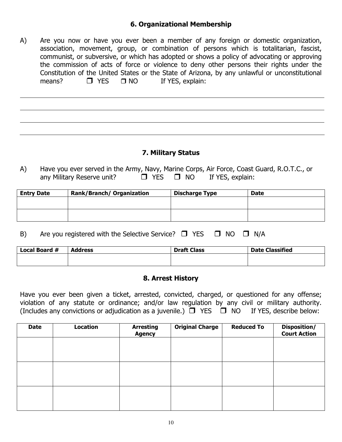### 6. Organizational Membership

A) Are you now or have you ever been a member of any foreign or domestic organization, association, movement, group, or combination of persons which is totalitarian, fascist, communist, or subversive, or which has adopted or shows a policy of advocating or approving the commission of acts of force or violence to deny other persons their rights under the Constitution of the United States or the State of Arizona, by any unlawful or unconstitutional means?  $\Box$  YES  $\Box$  NO If YES, explain:

### 7. Military Status

A) Have you ever served in the Army, Navy, Marine Corps, Air Force, Coast Guard, R.O.T.C., or any Military Reserve unit?  $\Box$  YES  $\Box$  NO If YES, explain:

| <b>Entry Date</b> | <b>Rank/Branch/ Organization</b> | <b>Discharge Type</b> | <b>Date</b> |
|-------------------|----------------------------------|-----------------------|-------------|
|                   |                                  |                       |             |
|                   |                                  |                       |             |
|                   |                                  |                       |             |
|                   |                                  |                       |             |

B) Are you registered with the Selective Service?  $\square$  YES  $\square$  NO  $\square$  N/A

| Local Board # | <b>Address</b> | <b>Draft Class</b> | <b>Date Classified</b> |
|---------------|----------------|--------------------|------------------------|
|               |                |                    |                        |
|               |                |                    |                        |

### 8. Arrest History

Have you ever been given a ticket, arrested, convicted, charged, or questioned for any offense; violation of any statute or ordinance; and/or law regulation by any civil or military authority. (Includes any convictions or adjudication as a juvenile.)  $\Box$  YES  $\Box$  NO If YES, describe below:

| <b>Date</b> | <b>Location</b> | <b>Arresting</b><br><b>Agency</b> | <b>Original Charge</b> | <b>Reduced To</b> | Disposition/<br><b>Court Action</b> |
|-------------|-----------------|-----------------------------------|------------------------|-------------------|-------------------------------------|
|             |                 |                                   |                        |                   |                                     |
|             |                 |                                   |                        |                   |                                     |
|             |                 |                                   |                        |                   |                                     |
|             |                 |                                   |                        |                   |                                     |
|             |                 |                                   |                        |                   |                                     |
|             |                 |                                   |                        |                   |                                     |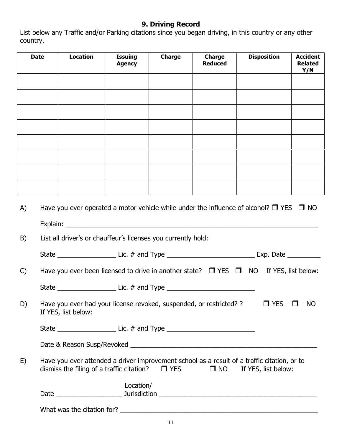### 9. Driving Record

List below any Traffic and/or Parking citations since you began driving, in this country or any other country.

|              | <b>Date</b> | <b>Location</b>     | <b>Issuing</b><br><b>Agency</b>                               | <b>Charge</b> | <b>Charge</b><br><b>Reduced</b>                                                   | <b>Disposition</b>                                                                                                      | <b>Accident</b><br><b>Related</b><br>Y/N |
|--------------|-------------|---------------------|---------------------------------------------------------------|---------------|-----------------------------------------------------------------------------------|-------------------------------------------------------------------------------------------------------------------------|------------------------------------------|
|              |             |                     |                                                               |               |                                                                                   |                                                                                                                         |                                          |
|              |             |                     |                                                               |               |                                                                                   |                                                                                                                         |                                          |
|              |             |                     |                                                               |               |                                                                                   |                                                                                                                         |                                          |
|              |             |                     |                                                               |               |                                                                                   |                                                                                                                         |                                          |
|              |             |                     |                                                               |               |                                                                                   |                                                                                                                         |                                          |
|              |             |                     |                                                               |               |                                                                                   |                                                                                                                         |                                          |
|              |             |                     |                                                               |               |                                                                                   |                                                                                                                         |                                          |
|              |             |                     |                                                               |               |                                                                                   |                                                                                                                         |                                          |
| A)           |             |                     |                                                               |               |                                                                                   | Have you ever operated a motor vehicle while under the influence of alcohol? $\Box$ YES $\Box$ NO                       |                                          |
|              |             |                     |                                                               |               |                                                                                   |                                                                                                                         |                                          |
| B)           |             |                     | List all driver's or chauffeur's licenses you currently hold: |               |                                                                                   |                                                                                                                         |                                          |
|              |             |                     |                                                               |               |                                                                                   |                                                                                                                         |                                          |
| $\mathsf{C}$ |             |                     |                                                               |               |                                                                                   | Have you ever been licensed to drive in another state? $\Box$ YES $\Box$ NO If YES, list below:                         |                                          |
|              |             |                     |                                                               |               | State _____________________________ Lic. # and Type ____________________________  |                                                                                                                         |                                          |
| D)           |             | If YES, list below: |                                                               |               | Have you ever had your license revoked, suspended, or restricted? ?               | $\Box$ YES                                                                                                              | $\Box$<br><b>NO</b>                      |
|              |             |                     |                                                               |               | State __________________________________Lic. # and Type _________________________ |                                                                                                                         |                                          |
|              |             |                     |                                                               |               |                                                                                   |                                                                                                                         |                                          |
| E)           |             |                     | dismiss the filing of a traffic citation? $\Box$ YES          |               |                                                                                   | Have you ever attended a driver improvement school as a result of a traffic citation, or to<br>□ NO If YES, list below: |                                          |
|              |             |                     | Location/                                                     |               |                                                                                   |                                                                                                                         |                                          |
|              |             |                     |                                                               |               |                                                                                   |                                                                                                                         |                                          |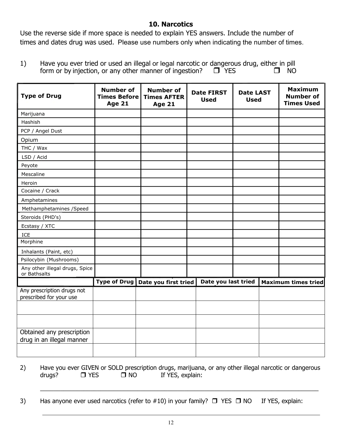### 10. Narcotics

Use the reverse side if more space is needed to explain YES answers. Include the number of times and dates drug was used. Please use numbers only when indicating the number of times.

1) Have you ever tried or used an illegal or legal narcotic or dangerous drug, either in pill form or by injection, or any other manner of ingestion?  $T$  YES  $\Box$  NO

| <b>Type of Drug</b>                                   | <b>Number of</b><br><b>Times Before</b><br><b>Age 21</b> | <b>Number of</b><br><b>Times AFTER</b><br><b>Age 21</b> | <b>Date FIRST</b><br><b>Used</b> | <b>Date LAST</b><br><b>Used</b> | <b>Maximum</b><br><b>Number of</b><br><b>Times Used</b> |
|-------------------------------------------------------|----------------------------------------------------------|---------------------------------------------------------|----------------------------------|---------------------------------|---------------------------------------------------------|
| Marijuana                                             |                                                          |                                                         |                                  |                                 |                                                         |
| Hashish                                               |                                                          |                                                         |                                  |                                 |                                                         |
| PCP / Angel Dust                                      |                                                          |                                                         |                                  |                                 |                                                         |
| Opium                                                 |                                                          |                                                         |                                  |                                 |                                                         |
| THC / Wax                                             |                                                          |                                                         |                                  |                                 |                                                         |
| LSD / Acid                                            |                                                          |                                                         |                                  |                                 |                                                         |
| Peyote                                                |                                                          |                                                         |                                  |                                 |                                                         |
| Mescaline                                             |                                                          |                                                         |                                  |                                 |                                                         |
| Heroin                                                |                                                          |                                                         |                                  |                                 |                                                         |
| Cocaine / Crack                                       |                                                          |                                                         |                                  |                                 |                                                         |
| Amphetamines                                          |                                                          |                                                         |                                  |                                 |                                                         |
| Methamphetamines / Speed                              |                                                          |                                                         |                                  |                                 |                                                         |
| Steroids (PHD's)                                      |                                                          |                                                         |                                  |                                 |                                                         |
| Ecstasy / XTC                                         |                                                          |                                                         |                                  |                                 |                                                         |
| ICE                                                   |                                                          |                                                         |                                  |                                 |                                                         |
| Morphine                                              |                                                          |                                                         |                                  |                                 |                                                         |
| Inhalants (Paint, etc)                                |                                                          |                                                         |                                  |                                 |                                                         |
| Psilocybin (Mushrooms)                                |                                                          |                                                         |                                  |                                 |                                                         |
| Any other illegal drugs, Spice<br>or Bathsalts        |                                                          |                                                         |                                  |                                 |                                                         |
|                                                       |                                                          | Type of Drug   Date you first tried                     | Date you last tried              |                                 | <b>Maximum times tried</b>                              |
| Any prescription drugs not<br>prescribed for your use |                                                          |                                                         |                                  |                                 |                                                         |
|                                                       |                                                          |                                                         |                                  |                                 |                                                         |
|                                                       |                                                          |                                                         |                                  |                                 |                                                         |
| Obtained any prescription                             |                                                          |                                                         |                                  |                                 |                                                         |
| drug in an illegal manner                             |                                                          |                                                         |                                  |                                 |                                                         |
|                                                       |                                                          |                                                         |                                  |                                 |                                                         |

2) Have you ever GIVEN or SOLD prescription drugs, marijuana, or any other illegal narcotic or dangerous drugs?  $\Box$  YES  $\Box$  NO If YES, explain:

\_\_\_\_\_\_\_\_\_\_\_\_\_\_\_\_\_\_\_\_\_\_\_\_\_\_\_\_\_\_\_\_\_\_\_\_\_\_\_\_\_\_\_\_\_\_\_\_\_\_\_\_\_\_\_\_\_\_\_\_\_\_\_\_\_\_\_\_\_\_\_\_\_\_\_\_\_\_\_\_\_\_\_

3) Has anyone ever used narcotics (refer to  $\#10$ ) in your family?  $\Box$  YES  $\Box$  NO If YES, explain: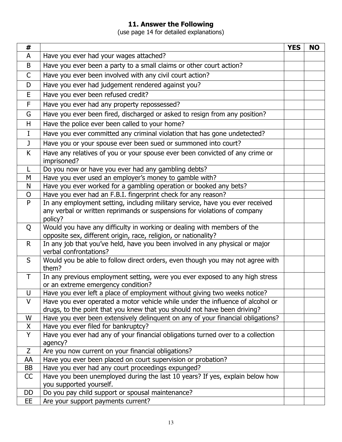### 11. Answer the Following

(use page 14 for detailed explanations)

| #            |                                                                                                                                                                       | <b>YES</b> | <b>NO</b> |
|--------------|-----------------------------------------------------------------------------------------------------------------------------------------------------------------------|------------|-----------|
| A            | Have you ever had your wages attached?                                                                                                                                |            |           |
| B            | Have you ever been a party to a small claims or other court action?                                                                                                   |            |           |
| $\mathsf{C}$ | Have you ever been involved with any civil court action?                                                                                                              |            |           |
| D            | Have you ever had judgement rendered against you?                                                                                                                     |            |           |
| E            | Have you ever been refused credit?                                                                                                                                    |            |           |
| F.           | Have you ever had any property repossessed?                                                                                                                           |            |           |
| G            | Have you ever been fired, discharged or asked to resign from any position?                                                                                            |            |           |
| H            | Have the police ever been called to your home?                                                                                                                        |            |           |
| I            | Have you ever committed any criminal violation that has gone undetected?                                                                                              |            |           |
| J            | Have you or your spouse ever been sued or summoned into court?                                                                                                        |            |           |
| K            | Have any relatives of you or your spouse ever been convicted of any crime or<br>imprisoned?                                                                           |            |           |
| L            | Do you now or have you ever had any gambling debts?                                                                                                                   |            |           |
| M            | Have you ever used an employer's money to gamble with?                                                                                                                |            |           |
| N            | Have you ever worked for a gambling operation or booked any bets?                                                                                                     |            |           |
| $\mathsf{O}$ | Have you ever had an F.B.I. fingerprint check for any reason?                                                                                                         |            |           |
| P            | In any employment setting, including military service, have you ever received<br>any verbal or written reprimands or suspensions for violations of company<br>policy? |            |           |
| Q            | Would you have any difficulty in working or dealing with members of the<br>opposite sex, different origin, race, religion, or nationality?                            |            |           |
| $\mathsf{R}$ | In any job that you've held, have you been involved in any physical or major<br>verbal confrontations?                                                                |            |           |
| S            | Would you be able to follow direct orders, even though you may not agree with<br>them?                                                                                |            |           |
| $\top$       | In any previous employment setting, were you ever exposed to any high stress<br>or an extreme emergency condition?                                                    |            |           |
| U            | Have you ever left a place of employment without giving two weeks notice?                                                                                             |            |           |
| $\vee$       | Have you ever operated a motor vehicle while under the influence of alcohol or<br>drugs, to the point that you knew that you should not have been driving?            |            |           |
| W            | Have you ever been extensively delinquent on any of your financial obligations?                                                                                       |            |           |
| X            | Have you ever filed for bankruptcy?                                                                                                                                   |            |           |
| Y            | Have you ever had any of your financial obligations turned over to a collection                                                                                       |            |           |
|              | agency?                                                                                                                                                               |            |           |
| Z            | Are you now current on your financial obligations?                                                                                                                    |            |           |
| AA           | Have you ever been placed on court supervision or probation?                                                                                                          |            |           |
| BB           | Have you ever had any court proceedings expunged?                                                                                                                     |            |           |
| CC           | Have you been unemployed during the last 10 years? If yes, explain below how<br>you supported yourself.                                                               |            |           |
| <b>DD</b>    | Do you pay child support or spousal maintenance?                                                                                                                      |            |           |
| EE           | Are your support payments current?                                                                                                                                    |            |           |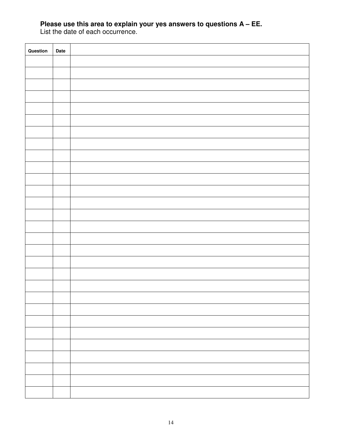### **Please use this area to explain your yes answers to questions A – EE.**

List the date of each occurrence.

| Question | Date |  |
|----------|------|--|
|          |      |  |
|          |      |  |
|          |      |  |
|          |      |  |
|          |      |  |
|          |      |  |
|          |      |  |
|          |      |  |
|          |      |  |
|          |      |  |
|          |      |  |
|          |      |  |
|          |      |  |
|          |      |  |
|          |      |  |
|          |      |  |
|          |      |  |
|          |      |  |
|          |      |  |
|          |      |  |
|          |      |  |
|          |      |  |
|          |      |  |
|          |      |  |
|          |      |  |
|          |      |  |
|          |      |  |
|          |      |  |
|          |      |  |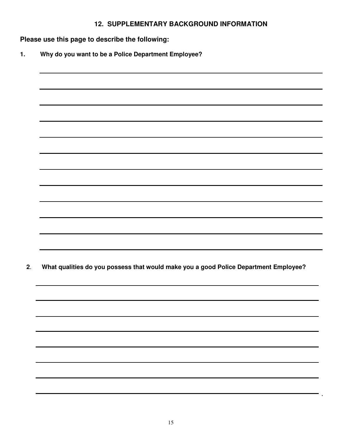### **12. SUPPLEMENTARY BACKGROUND INFORMATION**

**Please use this page to describe the following:** 

**1. Why do you want to be a Police Department Employee?** 

| What qualities do you possess that would make you a good Police Department Employee? |
|--------------------------------------------------------------------------------------|
|                                                                                      |
|                                                                                      |
|                                                                                      |
|                                                                                      |
|                                                                                      |
|                                                                                      |
|                                                                                      |
|                                                                                      |
|                                                                                      |

۰.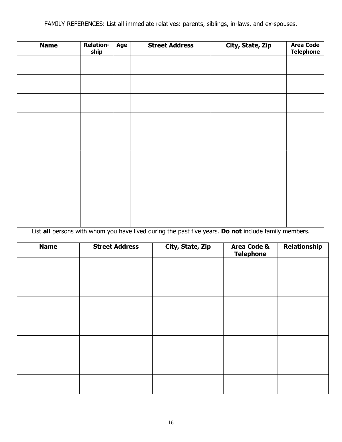FAMILY REFERENCES: List all immediate relatives: parents, siblings, in-laws, and ex-spouses.

| <b>Name</b> | <b>Relation-</b><br>ship | Age | <b>Street Address</b> | City, State, Zip | <b>Area Code</b><br><b>Telephone</b> |
|-------------|--------------------------|-----|-----------------------|------------------|--------------------------------------|
|             |                          |     |                       |                  |                                      |
|             |                          |     |                       |                  |                                      |
|             |                          |     |                       |                  |                                      |
|             |                          |     |                       |                  |                                      |
|             |                          |     |                       |                  |                                      |
|             |                          |     |                       |                  |                                      |
|             |                          |     |                       |                  |                                      |
|             |                          |     |                       |                  |                                      |
|             |                          |     |                       |                  |                                      |
|             |                          |     |                       |                  |                                      |

List all persons with whom you have lived during the past five years. Do not include family members.

| <b>Name</b> | <b>Street Address</b> | City, State, Zip | <b>Area Code &amp;</b><br><b>Telephone</b> | Relationship |
|-------------|-----------------------|------------------|--------------------------------------------|--------------|
|             |                       |                  |                                            |              |
|             |                       |                  |                                            |              |
|             |                       |                  |                                            |              |
|             |                       |                  |                                            |              |
|             |                       |                  |                                            |              |
|             |                       |                  |                                            |              |
|             |                       |                  |                                            |              |